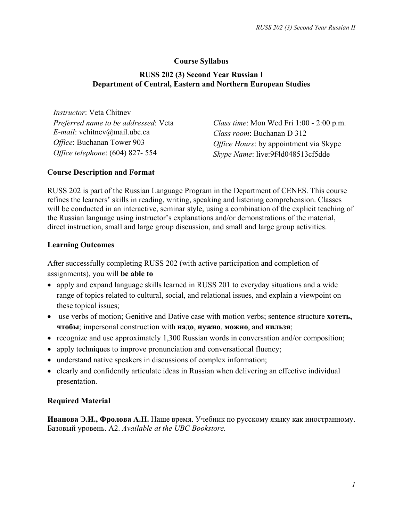## **Course Syllabus**

### **RUSS 202 (3) Second Year Russian I Department of Central, Eastern and Northern European Studies**

*Instructor*: Veta Chitnev *Preferred name to be addressed*: Veta *E-mail*: vchitnev@mail.ubc.ca *Office*: Buchanan Tower 903 *Office telephone*: (604) 827- 554

*Class time*: Mon Wed Fri 1:00 - 2:00 p.m. *Class room*: Buchanan D 312 *Office Hours*: by appointment via Skype *Skype Name*: live:9f4d048513cf5dde

### **Course Description and Format**

RUSS 202 is part of the Russian Language Program in the Department of CENES. This course refines the learners' skills in reading, writing, speaking and listening comprehension. Classes will be conducted in an interactive, seminar style, using a combination of the explicit teaching of the Russian language using instructor's explanations and/or demonstrations of the material, direct instruction, small and large group discussion, and small and large group activities.

### **Learning Outcomes**

After successfully completing RUSS 202 (with active participation and completion of assignments), you will **be able to**

- apply and expand language skills learned in RUSS 201 to everyday situations and a wide range of topics related to cultural, social, and relational issues, and explain a viewpoint on these topical issues;
- use verbs of motion; Genitive and Dative case with motion verbs; sentence structure **хотеть**, **чтобы**; impersonal construction with **надо**, **нужно**, **можно**, and **нильзя**;
- recognize and use approximately 1,300 Russian words in conversation and/or composition;
- apply techniques to improve pronunciation and conversational fluency;
- understand native speakers in discussions of complex information;
- clearly and confidently articulate ideas in Russian when delivering an effective individual presentation.

## **Required Material**

**Иванова Э.И., Фролова А.Н.** Наше время. Учебник по русскому языку как иностранному. Базовый уровень. А2. *Available at the UBC Bookstore.*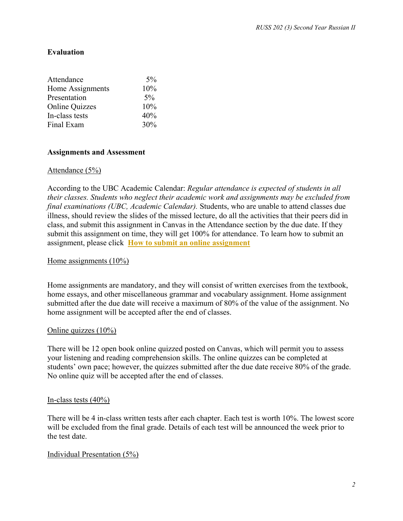### **Evaluation**

| Attendance            | $5\%$ |
|-----------------------|-------|
| Home Assignments      | 10%   |
| Presentation          | $5\%$ |
| <b>Online Quizzes</b> | 10%   |
| In-class tests        | 40%   |
| Final Exam            | 30%   |

#### **Assignments and Assessment**

#### Attendance (5%)

According to the UBC Academic Calendar: *Regular attendance is expected of students in all their classes. Students who neglect their academic work and assignments may be excluded from final examinations (UBC, Academic Calendar).* Students, who are unable to attend classes due illness, should review the slides of the missed lecture, do all the activities that their peers did in class, and submit this assignment in Canvas in the Attendance section by the due date. If they submit this assignment on time, they will get 100% for attendance. To learn how to submit an assignment, please click **[How to submit an online assignment](https://community.canvaslms.com/t5/Student-Guide/How-do-I-submit-an-online-assignment/ta-p/503)**

#### Home assignments (10%)

Home assignments are mandatory, and they will consist of written exercises from the textbook, home essays, and other miscellaneous grammar and vocabulary assignment. Home assignment submitted after the due date will receive a maximum of 80% of the value of the assignment. No home assignment will be accepted after the end of classes.

#### Online quizzes (10%)

There will be 12 open book online quizzed posted on Canvas, which will permit you to assess your listening and reading comprehension skills. The online quizzes can be completed at students' own pace; however, the quizzes submitted after the due date receive 80% of the grade. No online quiz will be accepted after the end of classes.

#### In-class tests (40%)

There will be 4 in-class written tests after each chapter. Each test is worth 10%. The lowest score will be excluded from the final grade. Details of each test will be announced the week prior to the test date.

#### Individual Presentation (5%)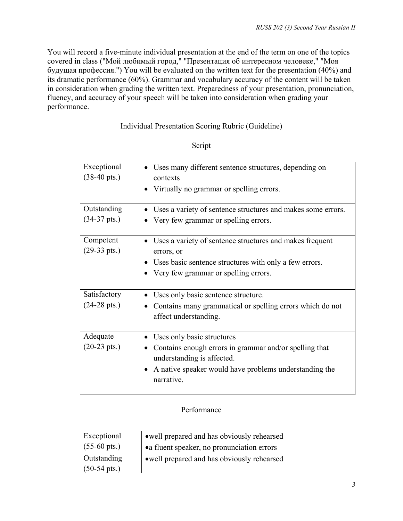You will record a five-minute individual presentation at the end of the term on one of the topics covered in class ("Мой любимый город," "Презентация об интересном человеке," "Моя будущая профессия.") You will be evaluated on the written text for the presentation (40%) and its dramatic performance (60%). Grammar and vocabulary accuracy of the content will be taken in consideration when grading the written text. Preparedness of your presentation, pronunciation, fluency, and accuracy of your speech will be taken into consideration when grading your performance.

## Individual Presentation Scoring Rubric (Guideline)

## Script

| Exceptional<br>$(38-40 \text{ pts.})$ | Uses many different sentence structures, depending on<br>$\bullet$<br>contexts<br>Virtually no grammar or spelling errors.<br>$\bullet$ |
|---------------------------------------|-----------------------------------------------------------------------------------------------------------------------------------------|
| Outstanding                           | Uses a variety of sentence structures and makes some errors.<br>$\bullet$                                                               |
| $(34-37 \text{ pts.})$                | Very few grammar or spelling errors.                                                                                                    |
| Competent                             | Uses a variety of sentence structures and makes frequent<br>$\bullet$                                                                   |
| $(29-33 \text{ pts.})$                | errors, or                                                                                                                              |
|                                       | Uses basic sentence structures with only a few errors.                                                                                  |
|                                       | Very few grammar or spelling errors.                                                                                                    |
| Satisfactory                          | Uses only basic sentence structure.<br>$\bullet$                                                                                        |
| $(24-28 \text{ pts.})$                | Contains many grammatical or spelling errors which do not<br>$\bullet$<br>affect understanding.                                         |
| Adequate                              | Uses only basic structures<br>$\bullet$                                                                                                 |
| $(20-23 \text{ pts.})$                | Contains enough errors in grammar and/or spelling that<br>$\bullet$<br>understanding is affected.                                       |
|                                       | A native speaker would have problems understanding the<br>narrative.                                                                    |

## Performance

| Exceptional            | • well prepared and has obviously rehearsed |
|------------------------|---------------------------------------------|
| $(55-60 \text{ pts.})$ | • a fluent speaker, no pronunciation errors |
| <b>Outstanding</b>     | • well prepared and has obviously rehearsed |
| $(50-54 \text{ pts.})$ |                                             |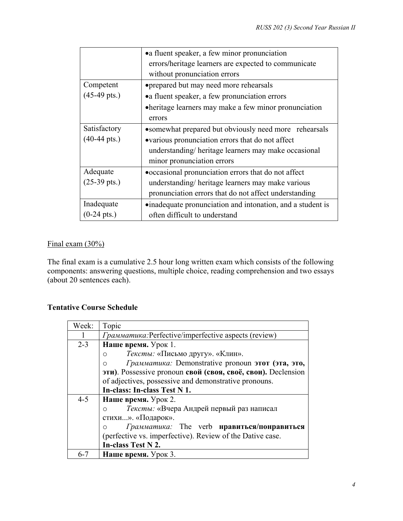|                        | • a fluent speaker, a few minor pronunciation              |
|------------------------|------------------------------------------------------------|
|                        | errors/heritage learners are expected to communicate       |
|                        | without pronunciation errors                               |
| Competent              | • prepared but may need more rehearsals                    |
| $(45-49 \text{ pts.})$ | • a fluent speaker, a few pronunciation errors             |
|                        | • heritage learners may make a few minor pronunciation     |
|                        | errors                                                     |
| Satisfactory           | • somewhat prepared but obviously need more rehearsals     |
| $(40-44 \text{ pts.})$ | •various pronunciation errors that do not affect           |
|                        | understanding/heritage learners may make occasional        |
|                        | minor pronunciation errors                                 |
| Adequate               | • occasional pronunciation errors that do not affect       |
| $(25-39 \text{ pts.})$ | understanding/heritage learners may make various           |
|                        | pronunciation errors that do not affect understanding      |
| Inadequate             | •inadequate pronunciation and intonation, and a student is |
| $(0-24 \text{ pts.})$  | often difficult to understand                              |

# Final exam (30%)

The final exam is a cumulative 2.5 hour long written exam which consists of the following components: answering questions, multiple choice, reading comprehension and two essays (about 20 sentences each).

# **Tentative Course Schedule**

| Week:   | Topic                                                           |
|---------|-----------------------------------------------------------------|
| 1       | <i>Грамматика:Perfective/imperfective aspects (review)</i>      |
| $2 - 3$ | Наше время. Урок 1.                                             |
|         | Тексты: «Письмо другу». «Клин».<br>$\circ$                      |
|         | Грамматика: Demonstrative pronoun этот (эта, это,<br>$\bigcirc$ |
|         | эти). Possessive pronoun свой (своя, своё, свои). Declension    |
|         | of adjectives, possessive and demonstrative pronouns.           |
|         | In-class: In-class Test N 1.                                    |
| $4 - 5$ | Наше время. Урок 2.                                             |
|         | Тексты: «Вчера Андрей первый раз написал<br>∩                   |
|         | стихи». «Подарок».                                              |
|         | Грамматика: The verb <b>нравиться/понравиться</b><br>∩          |
|         | (perfective vs. imperfective). Review of the Dative case.       |
|         | In-class Test N 2.                                              |
| $6 - 7$ | Наше время. Урок 3.                                             |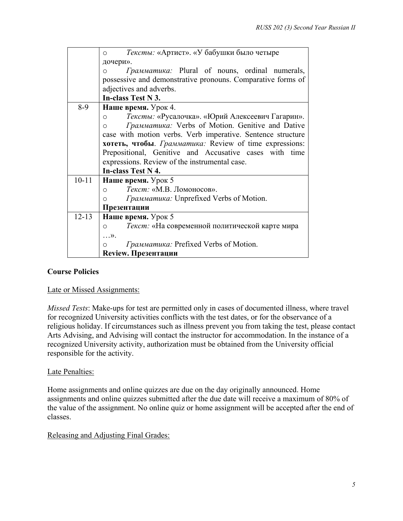|           | Тексты: «Артист». «У бабушки было четыре<br>$\circ$              |
|-----------|------------------------------------------------------------------|
|           | дочери».                                                         |
|           | <i>Грамматика:</i> Plural of nouns, ordinal numerals,<br>$\circ$ |
|           | possessive and demonstrative pronouns. Comparative forms of      |
|           | adjectives and adverbs.                                          |
|           | In-class Test N 3.                                               |
| $8-9$     | Наше время. Урок 4.                                              |
|           | Тексты: «Русалочка». «Юрий Алексеевич Гагарин».<br>$\circ$       |
|           | Грамматика: Verbs of Motion. Genitive and Dative<br>$\circ$      |
|           | case with motion verbs. Verb imperative. Sentence structure      |
|           | <b>хотеть, чтобы</b> . Грамматика: Review of time expressions:   |
|           | Prepositional, Genitive and Accusative cases with time           |
|           | expressions. Review of the instrumental case.                    |
|           | In-class Test N 4.                                               |
| $10 - 11$ | Наше время. Урок 5                                               |
|           | Текст: «М.В. Ломоносов».<br>$\Omega$                             |
|           | <i>Грамматика:</i> Unprefixed Verbs of Motion.<br>$\circ$        |
|           | Презентации                                                      |
| $12 - 13$ | Наше время. Урок 5                                               |
|           | Текст: «На современной политической карте мира<br>$\circ$        |
|           | $\ldots$ $\rangle$ .                                             |
|           | Грамматика: Prefixed Verbs of Motion.                            |
|           | Review. Презентации                                              |

# **Course Policies**

#### Late or Missed Assignments:

*Missed Tests*: Make-ups for test are permitted only in cases of documented illness, where travel for recognized University activities conflicts with the test dates, or for the observance of a religious holiday. If circumstances such as illness prevent you from taking the test, please contact Arts Advising, and Advising will contact the instructor for accommodation. In the instance of a recognized University activity, authorization must be obtained from the University official responsible for the activity.

#### Late Penalties:

Home assignments and online quizzes are due on the day originally announced. Home assignments and online quizzes submitted after the due date will receive a maximum of 80% of the value of the assignment. No online quiz or home assignment will be accepted after the end of classes.

#### Releasing and Adjusting Final Grades: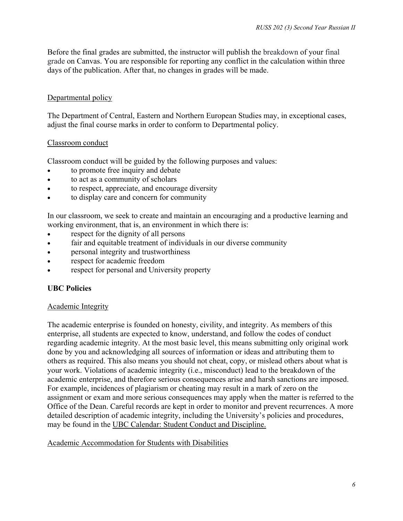Before the final grades are submitted, the instructor will publish the breakdown of your final grade on Canvas. You are responsible for reporting any conflict in the calculation within three days of the publication. After that, no changes in grades will be made.

# Departmental policy

The Department of Central, Eastern and Northern European Studies may, in exceptional cases, adjust the final course marks in order to conform to Departmental policy.

## Classroom conduct

Classroom conduct will be guided by the following purposes and values:

- to promote free inquiry and debate
- to act as a community of scholars
- to respect, appreciate, and encourage diversity
- to display care and concern for community

In our classroom, we seek to create and maintain an encouraging and a productive learning and working environment, that is, an environment in which there is:

- respect for the dignity of all persons
- fair and equitable treatment of individuals in our diverse community
- personal integrity and trustworthiness
- respect for academic freedom
- respect for personal and University property

# **UBC Policies**

## Academic Integrity

The academic enterprise is founded on honesty, civility, and integrity. As members of this enterprise, all students are expected to know, understand, and follow the codes of conduct regarding academic integrity. At the most basic level, this means submitting only original work done by you and acknowledging all sources of information or ideas and attributing them to others as required. This also means you should not cheat, copy, or mislead others about what is your work. Violations of academic integrity (i.e., misconduct) lead to the breakdown of the academic enterprise, and therefore serious consequences arise and harsh sanctions are imposed. For example, incidences of plagiarism or cheating may result in a mark of zero on the assignment or exam and more serious consequences may apply when the matter is referred to the Office of the Dean. Careful records are kept in order to monitor and prevent recurrences. A more detailed description of academic integrity, including the University's policies and procedures, may be found in the [UBC Calendar: Student Conduct and Discipline.](http://www.calendar.ubc.ca/vancouver/index.cfm?tree=3,54,0,0)

# Academic Accommodation for Students with Disabilities